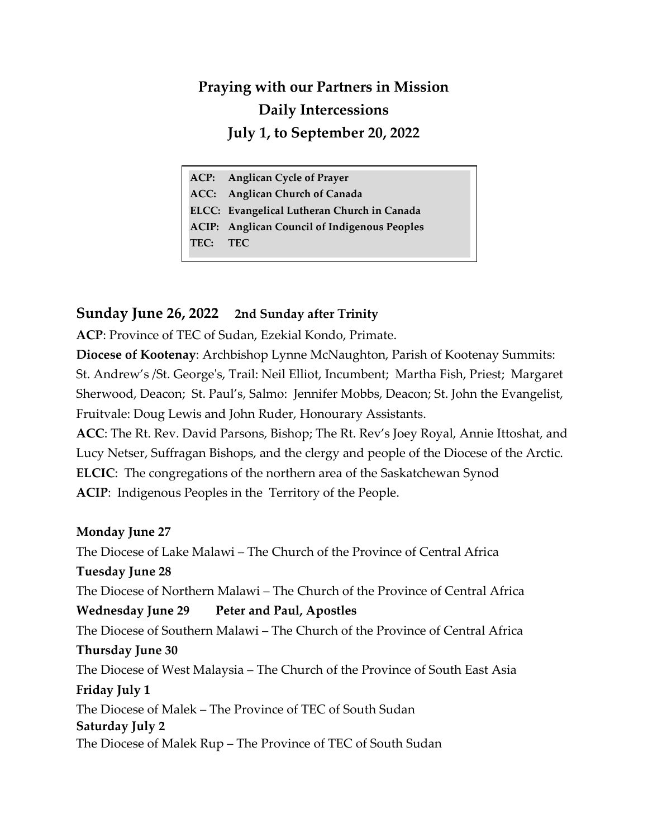# **Praying with our Partners in Mission Daily Intercessions July 1, to September 20, 2022**

|          | ACP: Anglican Cycle of Prayer                       |
|----------|-----------------------------------------------------|
|          | ACC: Anglican Church of Canada                      |
|          | ELCC: Evangelical Lutheran Church in Canada         |
|          | <b>ACIP:</b> Anglican Council of Indigenous Peoples |
| TEC: TEC |                                                     |

### **Sunday June 26, 2022 2nd Sunday after Trinity**

**ACP**: Province of TEC of Sudan, Ezekial Kondo, Primate.

**Diocese of Kootenay**: Archbishop Lynne McNaughton, Parish of Kootenay Summits: St. Andrew's /St. George's, Trail: Neil Elliot, Incumbent; Martha Fish, Priest; Margaret Sherwood, Deacon; St. Paul's, Salmo: Jennifer Mobbs, Deacon; St. John the Evangelist, Fruitvale: Doug Lewis and John Ruder, Honourary Assistants.

**ACC**: The Rt. Rev. David Parsons, Bishop; The Rt. Rev's Joey Royal, Annie Ittoshat, and Lucy Netser, Suffragan Bishops, and the clergy and people of the Diocese of the Arctic. **ELCIC**: The congregations of the northern area of the Saskatchewan Synod **ACIP**: Indigenous Peoples in the Territory of the People.

### **Monday June 27**

The Diocese of Lake Malawi – The Church of the Province of Central Africa **Tuesday June 28** The Diocese of Northern Malawi – The Church of the Province of Central Africa **Wednesday June 29 Peter and Paul, Apostles** The Diocese of Southern Malawi – The Church of the Province of Central Africa **Thursday June 30** The Diocese of West Malaysia – The Church of the Province of South East Asia **Friday July 1** The Diocese of Malek – The Province of TEC of South Sudan **Saturday July 2** The Diocese of Malek Rup – The Province of TEC of South Sudan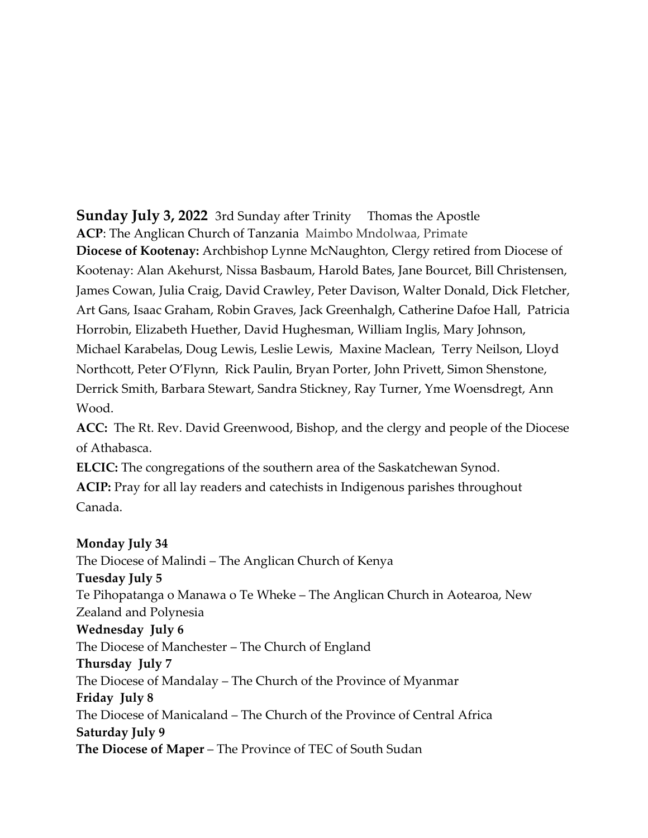**Sunday July 3, 2022** 3rd Sunday after Trinity Thomas the Apostle **ACP**: The Anglican Church of Tanzania Maimbo Mndolwaa, Primate **Diocese of Kootenay:** Archbishop Lynne McNaughton, Clergy retired from Diocese of Kootenay: Alan Akehurst, Nissa Basbaum, Harold Bates, Jane Bourcet, Bill Christensen, James Cowan, Julia Craig, David Crawley, Peter Davison, Walter Donald, Dick Fletcher, Art Gans, Isaac Graham, Robin Graves, Jack Greenhalgh, Catherine Dafoe Hall, Patricia Horrobin, Elizabeth Huether, David Hughesman, William Inglis, Mary Johnson, Michael Karabelas, Doug Lewis, Leslie Lewis, Maxine Maclean, Terry Neilson, Lloyd Northcott, Peter O'Flynn, Rick Paulin, Bryan Porter, John Privett, Simon Shenstone, Derrick Smith, Barbara Stewart, Sandra Stickney, Ray Turner, Yme Woensdregt, Ann Wood.

**ACC:** The Rt. Rev. David Greenwood, Bishop, and the clergy and people of the Diocese of Athabasca.

**ELCIC:** The congregations of the southern area of the Saskatchewan Synod. **ACIP:** Pray for all lay readers and catechists in Indigenous parishes throughout Canada.

#### **Monday July 34**

The Diocese of Malindi – The Anglican Church of Kenya **Tuesday July 5** Te Pihopatanga o Manawa o Te Wheke – The Anglican Church in Aotearoa, New Zealand and Polynesia **Wednesday July 6** The Diocese of Manchester – The Church of England **Thursday July 7** The Diocese of Mandalay – The Church of the Province of Myanmar **Friday July 8** The Diocese of Manicaland – The Church of the Province of Central Africa **Saturday July 9 The Diocese of Maper** – The Province of TEC of South Sudan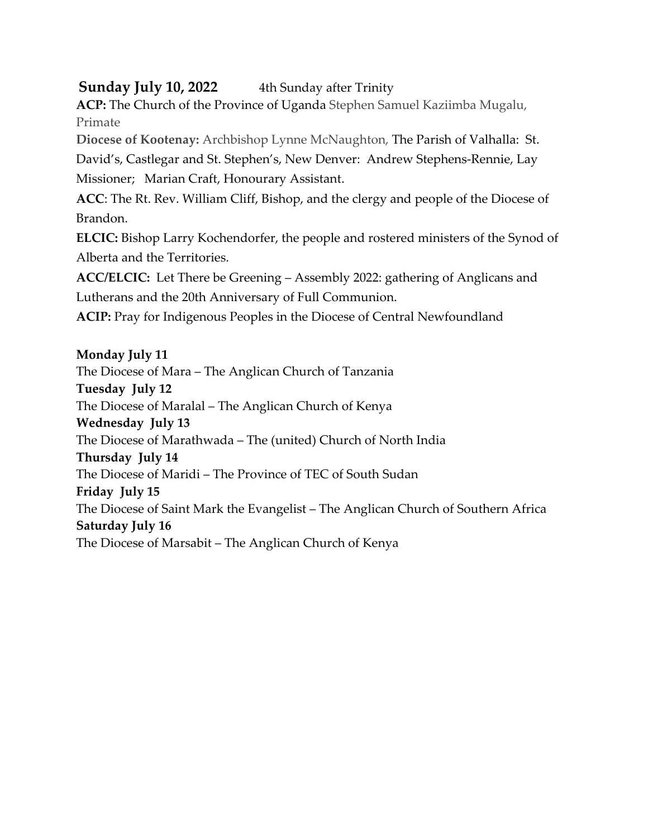## **Sunday July 10, 2022** 4th Sunday after Trinity

**ACP:** The Church of the Province of Uganda Stephen Samuel Kaziimba Mugalu, Primate

**Diocese of Kootenay:** Archbishop Lynne McNaughton, The Parish of Valhalla: St.

David's, Castlegar and St. Stephen's, New Denver: Andrew Stephens-Rennie, Lay Missioner; Marian Craft, Honourary Assistant.

**ACC**: The Rt. Rev. William Cliff, Bishop, and the clergy and people of the Diocese of Brandon.

**ELCIC:** Bishop Larry Kochendorfer, the people and rostered ministers of the Synod of Alberta and the Territories.

**ACC/ELCIC:** Let There be Greening – Assembly 2022: gathering of Anglicans and Lutherans and the 20th Anniversary of Full Communion.

**ACIP:** Pray for Indigenous Peoples in the Diocese of Central Newfoundland

### **Monday July 11**

The Diocese of Mara – The Anglican Church of Tanzania **Tuesday July 12** The Diocese of Maralal – The Anglican Church of Kenya **Wednesday July 13** The Diocese of Marathwada – The (united) Church of North India **Thursday July 14** The Diocese of Maridi – The Province of TEC of South Sudan **Friday July 15** The Diocese of Saint Mark the Evangelist – The Anglican Church of Southern Africa **Saturday July 16** The Diocese of Marsabit – The Anglican Church of Kenya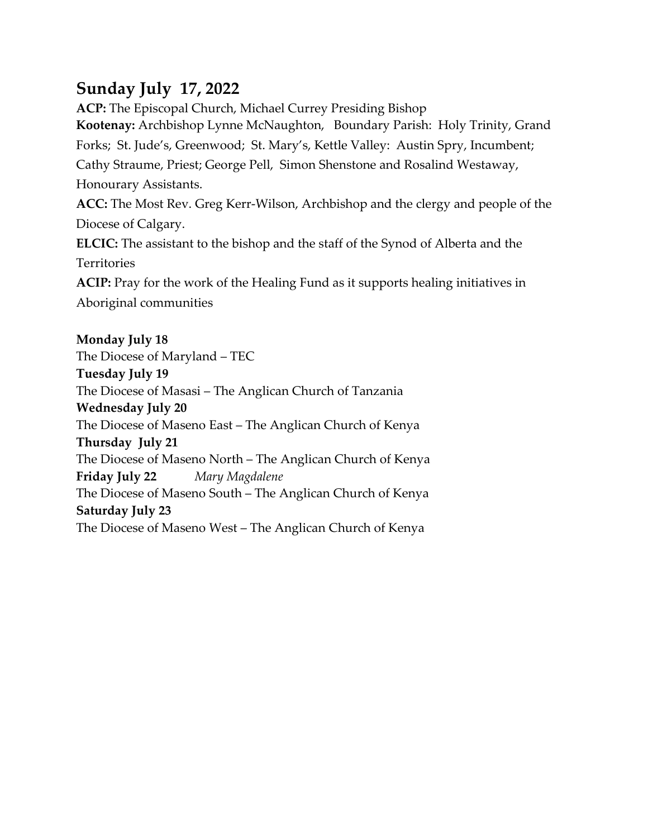# **Sunday July 17, 2022**

**ACP:** The Episcopal Church, Michael Currey Presiding Bishop **Kootenay:** Archbishop Lynne McNaughton,Boundary Parish: Holy Trinity, Grand Forks; St. Jude's, Greenwood; St. Mary's, Kettle Valley: Austin Spry, Incumbent; Cathy Straume, Priest; George Pell, Simon Shenstone and Rosalind Westaway, Honourary Assistants. **ACC:** The Most Rev. Greg Kerr-Wilson, Archbishop and the clergy and people of the Diocese of Calgary. **ELCIC:** The assistant to the bishop and the staff of the Synod of Alberta and the **Territories ACIP:** Pray for the work of the Healing Fund as it supports healing initiatives in Aboriginal communities **Monday July 18**

The Diocese of Maryland – TEC **Tuesday July 19** The Diocese of Masasi – The Anglican Church of Tanzania **Wednesday July 20** The Diocese of Maseno East – The Anglican Church of Kenya **Thursday July 21** The Diocese of Maseno North – The Anglican Church of Kenya **Friday July 22** *Mary Magdalene* The Diocese of Maseno South – The Anglican Church of Kenya **Saturday July 23** The Diocese of Maseno West – The Anglican Church of Kenya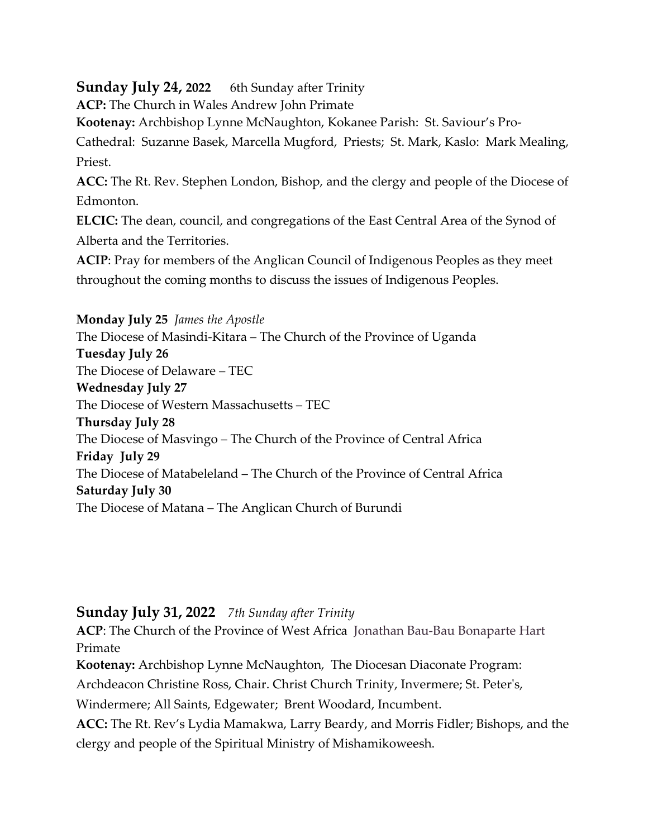## **Sunday July 24, 2022** 6th Sunday after Trinity

**ACP:** The Church in Wales Andrew John Primate

**Kootenay:** Archbishop Lynne McNaughton, Kokanee Parish: St. Saviour's Pro-

Cathedral: Suzanne Basek, Marcella Mugford, Priests; St. Mark, Kaslo: Mark Mealing, Priest.

**ACC:** The Rt. Rev. Stephen London, Bishop, and the clergy and people of the Diocese of Edmonton.

**ELCIC:** The dean, council, and congregations of the East Central Area of the Synod of Alberta and the Territories.

**ACIP**: Pray for members of the Anglican Council of Indigenous Peoples as they meet throughout the coming months to discuss the issues of Indigenous Peoples.

**Monday July 25** *James the Apostle* The Diocese of Masindi-Kitara – The Church of the Province of Uganda **Tuesday July 26** The Diocese of Delaware – TEC **Wednesday July 27** The Diocese of Western Massachusetts – TEC **Thursday July 28** The Diocese of Masvingo – The Church of the Province of Central Africa **Friday July 29** The Diocese of Matabeleland – The Church of the Province of Central Africa **Saturday July 30** The Diocese of Matana – The Anglican Church of Burundi

## **Sunday July 31, 2022** *7th Sunday after Trinity*

**ACP**: The Church of the Province of West Africa [Jonathan Bau-Bau Bonaparte Hart](about:blank) Primate

**Kootenay:** Archbishop Lynne McNaughton, The Diocesan Diaconate Program:

Archdeacon Christine Ross, Chair. Christ Church Trinity, Invermere; St. Peter's,

Windermere; All Saints, Edgewater; Brent Woodard, Incumbent.

**ACC:** The Rt. Rev's Lydia Mamakwa, Larry Beardy, and Morris Fidler; Bishops, and the clergy and people of the Spiritual Ministry of Mishamikoweesh.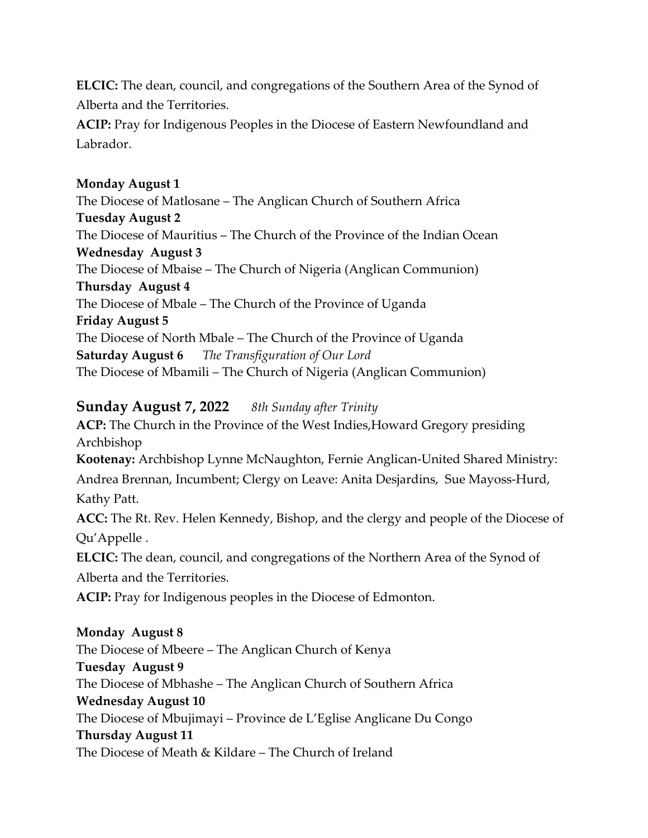**ELCIC:** The dean, council, and congregations of the Southern Area of the Synod of Alberta and the Territories.

**ACIP:** Pray for Indigenous Peoples in the Diocese of Eastern Newfoundland and Labrador.

### **Monday August 1**

The Diocese of Matlosane – The Anglican Church of Southern Africa **Tuesday August 2** The Diocese of Mauritius – The Church of the Province of the Indian Ocean **Wednesday August 3** The Diocese of Mbaise – The Church of Nigeria (Anglican Communion) **Thursday August 4** The Diocese of Mbale – The Church of the Province of Uganda **Friday August 5**  The Diocese of North Mbale – The Church of the Province of Uganda **Saturday August 6** *The Transfiguration of Our Lord* The Diocese of Mbamili – The Church of Nigeria (Anglican Communion)

## **Sunday August 7, 2022** *8th Sunday after Trinity*

**ACP:** The Church in the Province of the West Indies,Howard Gregory presiding Archbishop **Kootenay:** Archbishop Lynne McNaughton, Fernie Anglican-United Shared Ministry: Andrea Brennan, Incumbent; Clergy on Leave: Anita Desjardins, Sue Mayoss-Hurd, Kathy Patt. **ACC:** The Rt. Rev. Helen Kennedy, Bishop, and the clergy and people of the Diocese of Qu'Appelle . **ELCIC:** The dean, council, and congregations of the Northern Area of the Synod of Alberta and the Territories. **ACIP:** Pray for Indigenous peoples in the Diocese of Edmonton. **Monday August 8** The Diocese of Mbeere – The Anglican Church of Kenya **Tuesday August 9** The Diocese of Mbhashe – The Anglican Church of Southern Africa **Wednesday August 10** The Diocese of Mbujimayi – Province de L'Eglise Anglicane Du Congo

#### **Thursday August 11**

The Diocese of Meath & Kildare – The Church of Ireland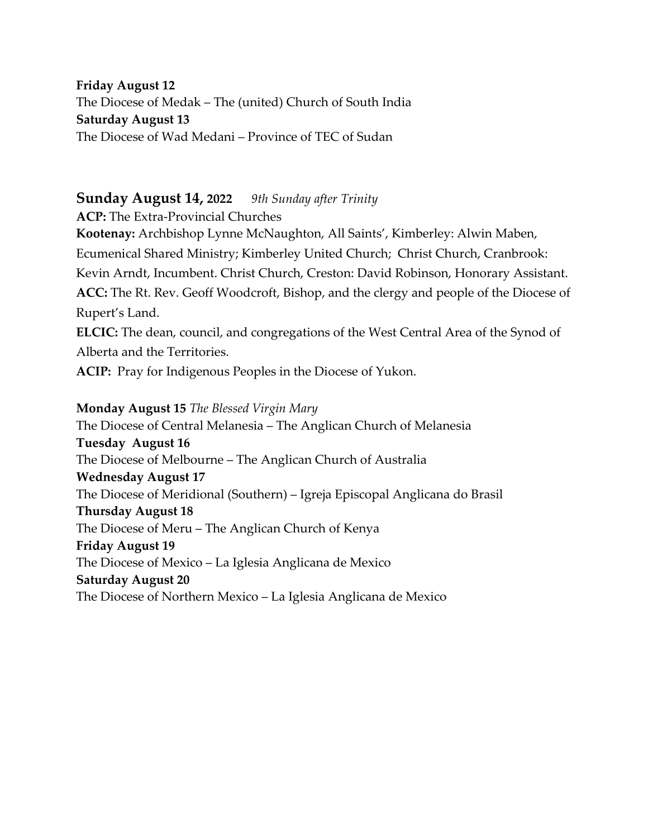**Friday August 12** The Diocese of Medak – The (united) Church of South India **Saturday August 13** The Diocese of Wad Medani – Province of TEC of Sudan

#### **Sunday August 14, 2022** *9th Sunday after Trinity*

**ACP:** The Extra-Provincial Churches

**Kootenay:** Archbishop Lynne McNaughton, All Saints', Kimberley: Alwin Maben, Ecumenical Shared Ministry; Kimberley United Church; Christ Church, Cranbrook: Kevin Arndt, Incumbent. Christ Church, Creston: David Robinson, Honorary Assistant. **ACC:** The Rt. Rev. Geoff Woodcroft, Bishop, and the clergy and people of the Diocese of Rupert's Land.

**ELCIC:** The dean, council, and congregations of the West Central Area of the Synod of Alberta and the Territories.

**ACIP:** Pray for Indigenous Peoples in the Diocese of Yukon.

#### **Monday August 15** *The Blessed Virgin Mary*

The Diocese of Central Melanesia – The Anglican Church of Melanesia **Tuesday August 16** The Diocese of Melbourne – The Anglican Church of Australia **Wednesday August 17** The Diocese of Meridional (Southern) – Igreja Episcopal Anglicana do Brasil **Thursday August 18** The Diocese of Meru – The Anglican Church of Kenya **Friday August 19** The Diocese of Mexico – La Iglesia Anglicana de Mexico **Saturday August 20** The Diocese of Northern Mexico – La Iglesia Anglicana de Mexico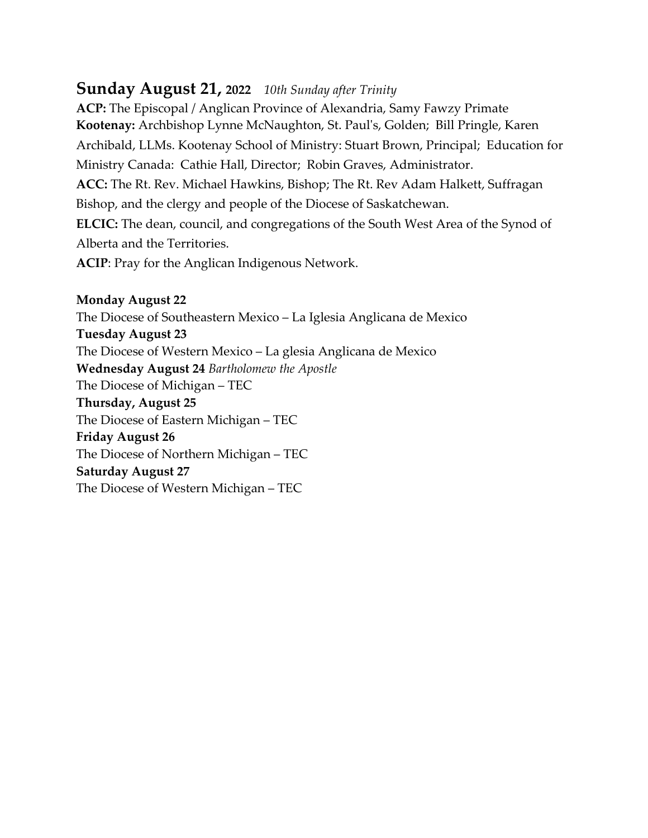# **Sunday August 21, 2022** *10th Sunday after Trinity*

**ACP:** The Episcopal / Anglican Province of Alexandria, Samy Fawzy Primate **Kootenay:** Archbishop Lynne McNaughton, St. Paul's, Golden; Bill Pringle, Karen Archibald, LLMs. Kootenay School of Ministry: Stuart Brown, Principal; Education for Ministry Canada: Cathie Hall, Director; Robin Graves, Administrator. **ACC:** The Rt. Rev. Michael Hawkins, Bishop; The Rt. Rev Adam Halkett, Suffragan Bishop, and the clergy and people of the Diocese of Saskatchewan. **ELCIC:** The dean, council, and congregations of the South West Area of the Synod of Alberta and the Territories.

**ACIP**: Pray for the Anglican Indigenous Network.

## **Monday August 22** The Diocese of Southeastern Mexico – La Iglesia Anglicana de Mexico **Tuesday August 23** The Diocese of Western Mexico – La glesia Anglicana de Mexico **Wednesday August 24** *Bartholomew the Apostle* The Diocese of Michigan – TEC **Thursday, August 25** The Diocese of Eastern Michigan – TEC **Friday August 26** The Diocese of Northern Michigan – TEC **Saturday August 27** The Diocese of Western Michigan – TEC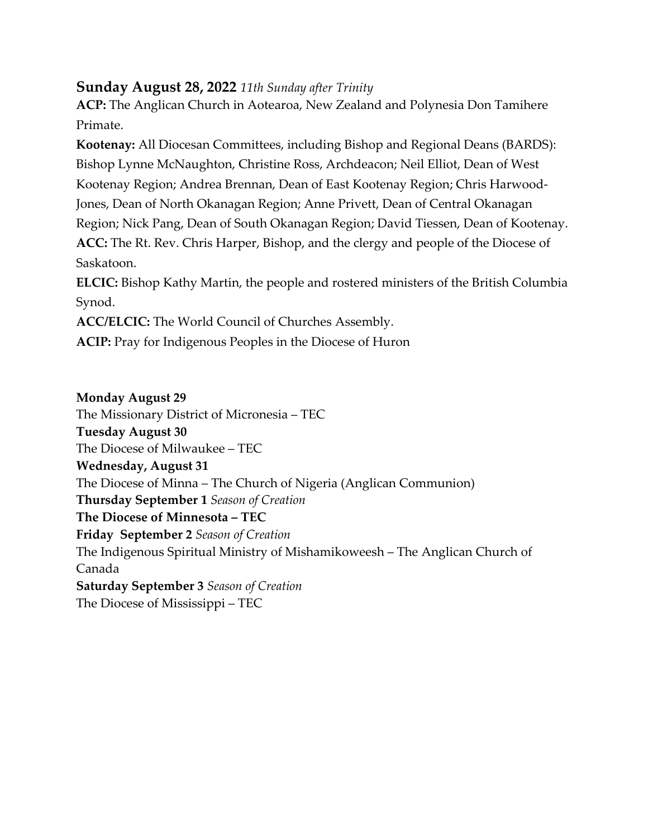## **Sunday August 28, 2022** *11th Sunday after Trinity*

**ACP:** The Anglican Church in Aotearoa, New Zealand and Polynesia Don Tamihere Primate.

**Kootenay:** All Diocesan Committees, including Bishop and Regional Deans (BARDS): Bishop Lynne McNaughton, Christine Ross, Archdeacon; Neil Elliot, Dean of West Kootenay Region; Andrea Brennan, Dean of East Kootenay Region; Chris Harwood-Jones, Dean of North Okanagan Region; Anne Privett, Dean of Central Okanagan Region; Nick Pang, Dean of South Okanagan Region; David Tiessen, Dean of Kootenay. **ACC:** The Rt. Rev. Chris Harper, Bishop, and the clergy and people of the Diocese of Saskatoon. **ELCIC:** Bishop Kathy Martin, the people and rostered ministers of the British Columbia

Synod.

**ACC/ELCIC:** The World Council of Churches Assembly.

**ACIP:** Pray for Indigenous Peoples in the Diocese of Huron

#### **Monday August 29**

The Missionary District of Micronesia – TEC **Tuesday August 30** The Diocese of Milwaukee – TEC **Wednesday, August 31** The Diocese of Minna – The Church of Nigeria (Anglican Communion) **Thursday September 1** *Season of Creation* **The Diocese of Minnesota – TEC Friday September 2** *Season of Creation* The Indigenous Spiritual Ministry of Mishamikoweesh – The Anglican Church of Canada **Saturday September 3** *Season of Creation* The Diocese of Mississippi – TEC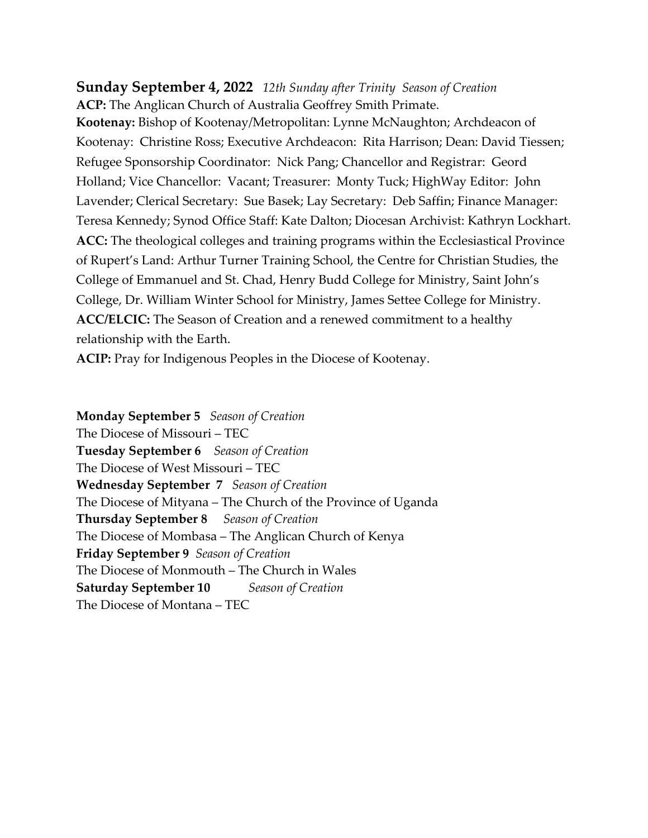## **Sunday September 4, 2022** *12th Sunday after Trinity Season of Creation* **ACP:** The Anglican Church of Australia Geoffrey Smith Primate.

**Kootenay:** Bishop of Kootenay/Metropolitan: Lynne McNaughton; Archdeacon of Kootenay: Christine Ross; Executive Archdeacon: Rita Harrison; Dean: David Tiessen; Refugee Sponsorship Coordinator: Nick Pang; Chancellor and Registrar: Geord Holland; Vice Chancellor: Vacant; Treasurer: Monty Tuck; HighWay Editor: John Lavender; Clerical Secretary: Sue Basek; Lay Secretary: Deb Saffin; Finance Manager: Teresa Kennedy; Synod Office Staff: Kate Dalton; Diocesan Archivist: Kathryn Lockhart. **ACC:** The theological colleges and training programs within the Ecclesiastical Province of Rupert's Land: Arthur Turner Training School, the Centre for Christian Studies, the College of Emmanuel and St. Chad, Henry Budd College for Ministry, Saint John's College, Dr. William Winter School for Ministry, James Settee College for Ministry. **ACC/ELCIC:** The Season of Creation and a renewed commitment to a healthy relationship with the Earth.

**ACIP:** Pray for Indigenous Peoples in the Diocese of Kootenay.

**Monday September 5** *Season of Creation* The Diocese of Missouri – TEC **Tuesday September 6** *Season of Creation* The Diocese of West Missouri – TEC **Wednesday September 7** *Season of Creation* The Diocese of Mityana – The Church of the Province of Uganda **Thursday September 8** *Season of Creation* The Diocese of Mombasa – The Anglican Church of Kenya **Friday September 9** *Season of Creation* The Diocese of Monmouth – The Church in Wales **Saturday September 10** *Season of Creation* The Diocese of Montana – TEC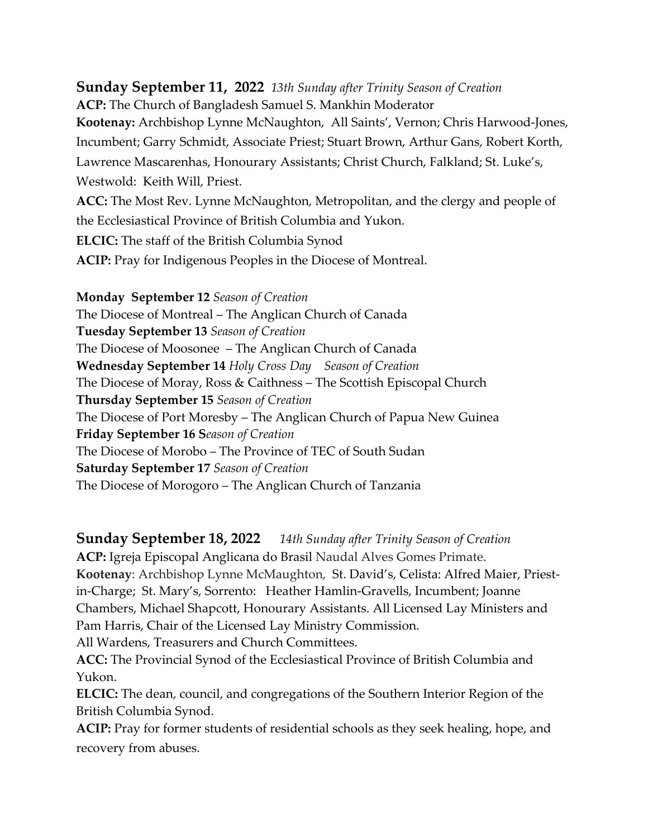# **Sunday September 11, 2022** *13th Sunday after Trinity Season of Creation* **ACP:** The Church of Bangladesh Samuel S. Mankhin Moderator **Kootenay:** Archbishop Lynne McNaughton,All Saints', Vernon; Chris Harwood-Jones, Incumbent; Garry Schmidt, Associate Priest; Stuart Brown, Arthur Gans, Robert Korth, Lawrence Mascarenhas, Honourary Assistants; Christ Church, Falkland; St. Luke's, Westwold: Keith Will, Priest. **ACC:** The Most Rev. Lynne McNaughton, Metropolitan, and the clergy and people of the Ecclesiastical Province of British Columbia and Yukon.

**ELCIC:** The staff of the British Columbia Synod

**ACIP:** Pray for Indigenous Peoples in the Diocese of Montreal.

**Monday September 12** *Season of Creation* The Diocese of Montreal – The Anglican Church of Canada **Tuesday September 13** *Season of Creation* The Diocese of Moosonee – The Anglican Church of Canada **Wednesday September 14** *Holy Cross Day Season of Creation* The Diocese of Moray, Ross & Caithness – The Scottish Episcopal Church **Thursday September 15** *Season of Creation* The Diocese of Port Moresby – The Anglican Church of Papua New Guinea **Friday September 16 S***eason of Creation* The Diocese of Morobo – The Province of TEC of South Sudan **Saturday September 17** *Season of Creation* The Diocese of Morogoro – The Anglican Church of Tanzania

**Sunday September 18, 2022** *14th Sunday after Trinity Season of Creation*

**ACP:** Igreja Episcopal Anglicana do Brasil Naudal Alves Gomes Primate. **Kootenay**: Archbishop Lynne McMaughton, St. David's, Celista: Alfred Maier, Priestin-Charge; St. Mary's, Sorrento: Heather Hamlin-Gravells, Incumbent; Joanne Chambers, Michael Shapcott, Honourary Assistants. All Licensed Lay Ministers and Pam Harris, Chair of the Licensed Lay Ministry Commission.

All Wardens, Treasurers and Church Committees.

**ACC:** The Provincial Synod of the Ecclesiastical Province of British Columbia and Yukon.

**ELCIC:** The dean, council, and congregations of the Southern Interior Region of the British Columbia Synod.

**ACIP:** Pray for former students of residential schools as they seek healing, hope, and recovery from abuses.